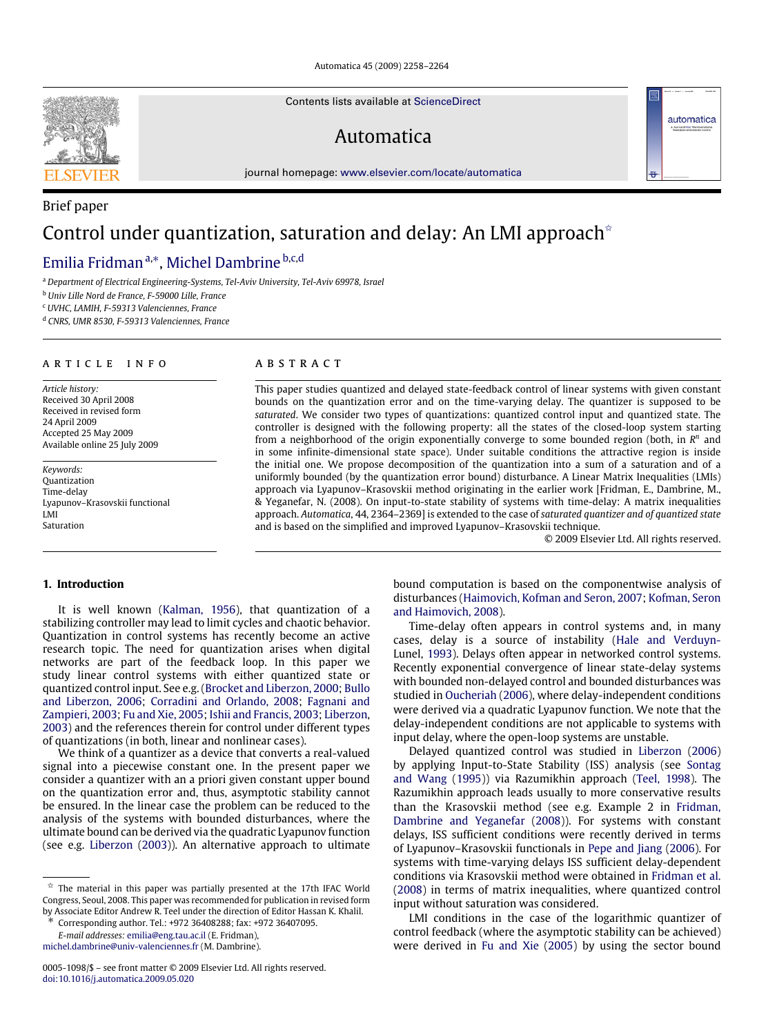Automatica 45 (2009) 2258–2264

Contents lists available at [ScienceDirect](http://www.elsevier.com/locate/automatica)

# Automatica

journal homepage: [www.elsevier.com/locate/automatica](http://www.elsevier.com/locate/automatica)

# Control under quantization, saturation and delay: An LMI approach<sup> $\star$ </sup>

# Emilia Fridman ª,\*, Michel Dambrine <sup>b,c,d</sup>

<sup>a</sup> *Department of Electrical Engineering-Systems, Tel-Aviv University, Tel-Aviv 69978, Israel*

<sup>b</sup> *Univ Lille Nord de France, F-59000 Lille, France*

<sup>c</sup> *UVHC, LAMIH, F-59313 Valenciennes, France*

<sup>d</sup> *CNRS, UMR 8530, F-59313 Valenciennes, France*

## A R T I C L E I N F O

*Article history:* Received 30 April 2008 Received in revised form 24 April 2009 Accepted 25 May 2009 Available online 25 July 2009

*Keywords:* Quantization Time-delay Lyapunov–Krasovskii functional LMI Saturation

# a b s t r a c t

This paper studies quantized and delayed state-feedback control of linear systems with given constant bounds on the quantization error and on the time-varying delay. The quantizer is supposed to be *saturated*. We consider two types of quantizations: quantized control input and quantized state. The controller is designed with the following property: all the states of the closed-loop system starting from a neighborhood of the origin exponentially converge to some bounded region (both, in  $R<sup>n</sup>$  and in some infinite-dimensional state space). Under suitable conditions the attractive region is inside the initial one. We propose decomposition of the quantization into a sum of a saturation and of a uniformly bounded (by the quantization error bound) disturbance. A Linear Matrix Inequalities (LMIs) approach via Lyapunov–Krasovskii method originating in the earlier work [Fridman, E., Dambrine, M., & Yeganefar, N. (2008). On input-to-state stability of systems with time-delay: A matrix inequalities approach. *Automatica*, 44, 2364–2369] is extended to the case of *saturated quantizer and of quantized state* and is based on the simplified and improved Lyapunov–Krasovskii technique.

© 2009 Elsevier Ltd. All rights reserved.

automatica

## **1. Introduction**

It is well known (Kalman, 1956), that quantization of a stabilizing controller may lead to limit cycles and chaotic behavior. Quantization in control systems has recently become an active research topic. The need for quantization arises when digital networks are part of the feedback loop. In this paper we study linear control systems with either quantized state or quantized control input. See e.g. (Brocket and Liberzon, 2000; Bullo and Liberzon, 2006; Corradini and Orlando, 2008; Fagnani and Zampieri, 2003; Fu and Xie, 2005; Ishii and Francis, 2003; Liberzon, 2003) and the references therein for control under different types of quantizations (in both, linear and nonlinear cases).

We think of a quantizer as a device that converts a real-valued signal into a piecewise constant one. In the present paper we consider a quantizer with an a priori given constant upper bound on the quantization error and, thus, asymptotic stability cannot be ensured. In the linear case the problem can be reduced to the analysis of the systems with bounded disturbances, where the ultimate bound can be derived via the quadratic Lyapunov function (see e.g. Liberzon (2003)). An alternative approach to ultimate

∗ Corresponding author. Tel.: +972 36408288; fax: +972 36407095. *E-mail addresses:* [emilia@eng.tau.ac.il](mailto:emilia@eng.tau.ac.il) (E. Fridman),

[michel.dambrine@univ-valenciennes.fr](mailto:michel.dambrine@univ-valenciennes.fr) (M. Dambrine).

bound computation is based on the componentwise analysis of disturbances (Haimovich, Kofman and Seron, 2007; Kofman, Seron and Haimovich, 2008).

Time-delay often appears in control systems and, in many cases, delay is a source of instability (Hale and Verduyn-Lunel, 1993). Delays often appear in networked control systems. Recently exponential convergence of linear state-delay systems with bounded non-delayed control and bounded disturbances was studied in Oucheriah (2006), where delay-independent conditions were derived via a quadratic Lyapunov function. We note that the delay-independent conditions are not applicable to systems with input delay, where the open-loop systems are unstable.

Delayed quantized control was studied in Liberzon (2006) by applying Input-to-State Stability (ISS) analysis (see Sontag and Wang (1995)) via Razumikhin approach (Teel, 1998). The Razumikhin approach leads usually to more conservative results than the Krasovskii method (see e.g. Example 2 in Fridman, Dambrine and Yeganefar (2008)). For systems with constant delays, ISS sufficient conditions were recently derived in terms of Lyapunov–Krasovskii functionals in Pepe and Jiang (2006). For systems with time-varying delays ISS sufficient delay-dependent conditions via Krasovskii method were obtained in Fridman et al. (2008) in terms of matrix inequalities, where quantized control input without saturation was considered.

LMI conditions in the case of the logarithmic quantizer of control feedback (where the asymptotic stability can be achieved) were derived in Fu and Xie (2005) by using the sector bound



Brief paper

 $\overrightarrow{x}$  The material in this paper was partially presented at the 17th IFAC World Congress, Seoul, 2008. This paper was recommended for publication in revised form by Associate Editor Andrew R. Teel under the direction of Editor Hassan K. Khalil.<br>
\* Corresponding the United Value of Editor Hassan K. Khalil.

<sup>0005-1098/\$ –</sup> see front matter © 2009 Elsevier Ltd. All rights reserved. [doi:10.1016/j.automatica.2009.05.020](http://dx.doi.org/10.1016/j.automatica.2009.05.020)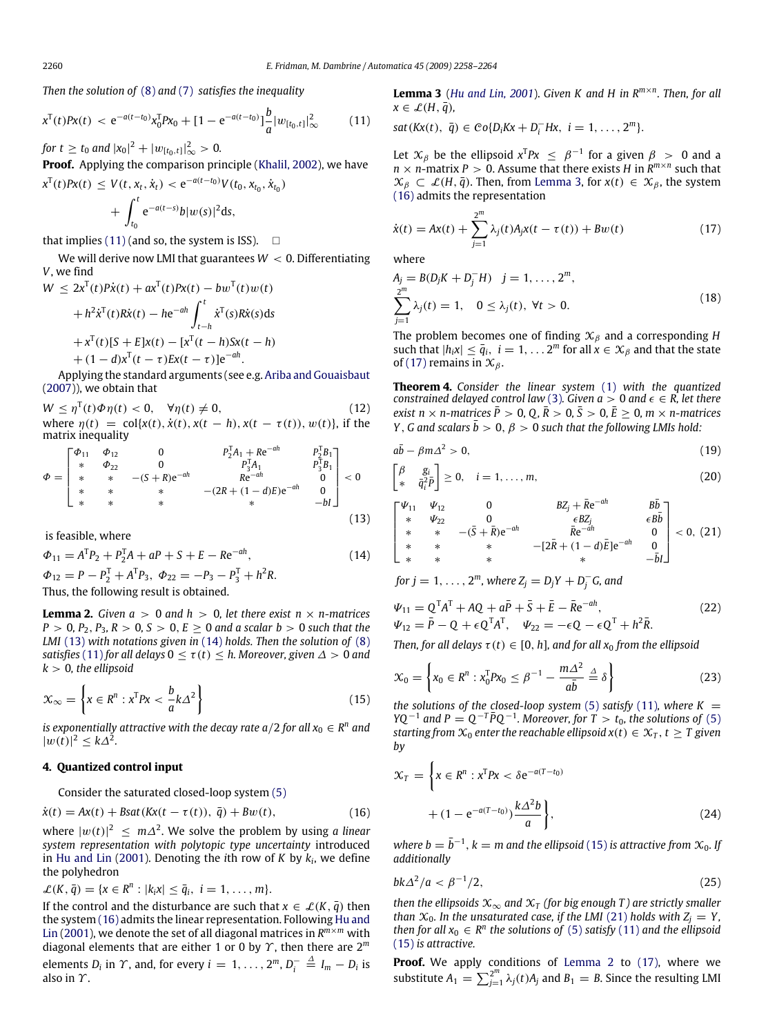*Then the solution of* (8) and (7) *satisfies the inequality*

$$
x^{T}(t)Px(t) < e^{-a(t-t_0)}x_0^{T}Px_0 + [1 - e^{-a(t-t_0)}] \frac{b}{a}|w_{[t_0,t]}|_{\infty}^{2} \tag{11}
$$

*for*  $t \ge t_0$  *and*  $|x_0|^2 + |w_{[t_0,t]}|_{\infty}^2 > 0$ *.* 

**Proof.** Applying the comparison principle (Khalil, 2002), we have  $X^{\text{T}}(t)P X(t) \leq V(t, x_t, \dot{x}_t) < e^{-a(t-t_0)} V(t_0, x_{t_0}, \dot{x}_{t_0})$ 

$$
+ \int_{t_0}^t e^{-a(t-s)} b|w(s)|^2 ds,
$$

that implies (11) (and so, the system is ISS).  $\Box$ 

We will derive now LMI that guarantees  $W < 0$ . Differentiating *V*, we find

$$
W \le 2x^{T}(t)P\dot{x}(t) + a x^{T}(t)Px(t) - b w^{T}(t)w(t)
$$
  
+  $h^{2}\dot{x}^{T}(t)R\dot{x}(t) - h e^{-ah} \int_{t-h}^{t} \dot{x}^{T}(s)R\dot{x}(s)ds$   
+  $x^{T}(t)[S + E]x(t) - [x^{T}(t-h)Sx(t-h)$   
+  $(1-d)x^{T}(t-\tau)Ex(t-\tau)]e^{-ah}$ .

Applying the standard arguments (see e.g. Ariba and Gouaisbaut (2007)), we obtain that

 $W \le \eta^{T}(t)\Phi\eta(t) < 0, \quad \forall \eta(t) \neq 0,$  (12) where  $\eta(t) = \text{col}\{x(t), \dot{x}(t), x(t-h), x(t-\tau(t)), w(t)\}$ , if the matrix inequality

$$
\Phi = \begin{bmatrix}\n\Phi_{11} & \Phi_{12} & 0 & P_2^T A_1 + Re^{-ah} & P_2^T B_1 \\
\ast & \Phi_{22} & 0 & P_3^T A_1 & P_3^T B_1 \\
\ast & \ast & -(S+R)e^{-ah} & Re^{-ah} & 0 \\
\ast & \ast & \ast & -(2R + (1-d)E)e^{-ah} & 0 \\
\ast & \ast & \ast & \ast\n\end{bmatrix} < 0
$$
\n(13)

is feasible, where

$$
\Phi_{11} = A^{\mathrm{T}} P_2 + P_2^{\mathrm{T}} A + aP + S + E - Re^{-ah},
$$
\n
$$
\Phi_{12} = P - P_2^{\mathrm{T}} + A^{\mathrm{T}} P_3, \ \Phi_{22} = -P_3 - P_3^{\mathrm{T}} + h^2 R.
$$
\n(14)

Thus, the following result is obtained.

**Lemma 2.** *Given*  $a > 0$  *and*  $h > 0$ *, let there exist*  $n \times n$ *-matrices*  $P > 0, P_2, P_3, R > 0, S > 0, E > 0$  *and a scalar b* > 0 *such that the LMI* (13) *with notations given in* (14) *holds. Then the solution of* (8) *satisfies* (11) *for all delays*  $0 < \tau(t) < h$ *. Moreover, given*  $\Delta > 0$  *and*  $k > 0$ , the ellipsoid

$$
\mathcal{X}_{\infty} = \left\{ x \in \mathbb{R}^n : x^{\mathrm{T}} P x < \frac{b}{a} k \Delta^2 \right\} \tag{15}
$$

*is exponentially attractive with the decay rate a/2 for all*  $x_0 \in R^n$  *and*  $|w(t)|^2 \leq k\Delta^2$ .

# **4. Quantized control input**

Consider the saturated closed-loop system (5)

$$
\dot{x}(t) = Ax(t) + Bsat(Kx(t - \tau(t)), \overline{q}) + Bw(t), \qquad (16)
$$

where  $|w(t)|^2 \leq m\Delta^2$ . We solve the problem by using *a linear system representation with polytopic type uncertainty* introduced in Hu and Lin (2001). Denoting the *i*th row of *K* by *k<sup>i</sup>* , we define the polyhedron

 $\mathcal{L}(K, \bar{q}) = \{x \in R^n : |k_i x| \leq \bar{q}_i, i = 1, \ldots, m\}.$ 

If the control and the disturbance are such that  $x \in \mathcal{L}(K, \overline{q})$  then the system (16) admits the linear representation. Following Hu and Lin (2001), we denote the set of all diagonal matrices in *R <sup>m</sup>*×*<sup>m</sup>* with diagonal elements that are either 1 or 0 by Υ , then there are 2*<sup>m</sup>* elements  $D_i$  in  $\Upsilon$ , and, for every  $i = 1, \ldots, 2^m, D_i^- \stackrel{\Delta}{=} I_m - D_i$  is also in  $\Upsilon$ .

**Lemma 3** (*Hu and Lin, 2001*). *Given K and H in R<sup>m</sup>*×*<sup>n</sup> . Then, for all*  $x \in \mathcal{L}(H, \overline{q})$ ,

 $sat(Kx(t), \bar{q}) \in Co\{D_iKx + D_i^-Hx, i = 1, ..., 2^m\}.$ 

Let  $\mathcal{X}_{\beta}$  be the ellipsoid  $x^T P x \leq \beta^{-1}$  for a given  $\beta > 0$  and a  $n \times n$ -matrix  $P > 0$ . Assume that there exists *H* in  $R^{m \times n}$  such that  $\mathcal{X}_{\beta} \subset \mathcal{L}(H, \overline{q})$ . Then, from Lemma 3, for  $x(t) \in \mathcal{X}_{\beta}$ , the system (16) admits the representation

$$
\dot{x}(t) = Ax(t) + \sum_{j=1}^{2^{m}} \lambda_j(t) A_j x(t - \tau(t)) + Bw(t)
$$
\n(17)

where

$$
A_j = B(D_j K + D_j^- H) \quad j = 1, ..., 2^m,
$$
  

$$
\sum_{j=1}^{2^m} \lambda_j(t) = 1, \quad 0 \le \lambda_j(t), \forall t > 0.
$$
 (18)

The problem becomes one of finding  $\mathcal{X}_{\beta}$  and a corresponding *H* such that  $|h_i x| \leq \overline{q}_i$ ,  $i = 1, \ldots 2^m$  for all  $x \in \mathcal{X}_\beta$  and that the state of (17) remains in  $\mathfrak{X}_{\beta}$ .

**Theorem 4.** *Consider the linear system* (1) *with the quantized constrained delayed control law* (3)*. Given*  $a > 0$  *and*  $\epsilon \in R$ *, let there exist*  $n \times n$ -matrices  $P > 0$ ,  $0$ ,  $R > 0$ ,  $S > 0$ ,  $E > 0$ ,  $m \times n$ -matrices *Y*, *G* and scalars  $\bar{b} > 0$ ,  $\beta > 0$  *such that the following LMIs hold:* 

$$
a\bar{b} - \beta m \Delta^2 > 0, \tag{19}
$$

$$
\begin{bmatrix}\n\beta & g_i \\
* & \bar{q}_i^2 \bar{P}\n\end{bmatrix} \geq 0, \quad i = 1, \dots, m,
$$
\n(20)

$$
\begin{bmatrix} \Psi_{11} & \Psi_{12} & 0 & BZ_j + \bar{R}e^{-ah} & B\bar{b} \\ * & \Psi_{22} & 0 & \epsilon BZ_j & \epsilon B\bar{b} \\ * & * & -(\bar{S} + \bar{R})e^{-ah} & \bar{R}e^{-ah} & 0 \\ * & * & * & -[2\bar{R} + (1 - d)\bar{E}]e^{-ah} & 0 \\ * & * & * & * & -\bar{b}I \end{bmatrix} < 0, (21)
$$

for 
$$
j = 1, ..., 2^m
$$
, where  $Z_j = D_j Y + D_j^- G$ , and

$$
\Psi_{11} = Q^{T}A^{T} + AQ + a\bar{P} + \bar{S} + \bar{E} - \bar{R}e^{-ah},
$$
  
\n
$$
\Psi_{12} = \bar{P} - Q + \epsilon Q^{T}A^{T}, \quad \Psi_{22} = -\epsilon Q - \epsilon Q^{T} + h^{2}\bar{R}.
$$
\n(22)

*Then, for all delays*  $\tau(t) \in [0, h]$ *, and for all*  $x_0$  *from the ellipsoid* 

$$
\mathcal{X}_0 = \left\{ x_0 \in R^n : x_0^{\mathrm{T}} P x_0 \le \beta^{-1} - \frac{m \Delta^2}{a \overline{b}} \stackrel{\Delta}{=} \delta \right\} \tag{23}
$$

*the solutions of the closed-loop system* (5) *satisfy* (11)*, where*  $K =$ *YQ*<sup> $-1$ </sup> and *P* = *Q*<sup> $-T$ </sup> $\bar{P}Q$ <sup> $-1$ </sup>. Moreover, for *T* > *t*<sub>0</sub>, the solutions of (5) *starting from*  $\mathcal{X}_0$  *enter the reachable ellipsoid*  $x(t) \in \mathcal{X}_T$ ,  $t \geq T$  given *by*

$$
\mathcal{X}_T = \left\{ x \in R^n : x^T P x < \delta e^{-a(T - t_0)}
$$

$$
+ (1 - e^{-a(T - t_0)}) \frac{k \Delta^2 b}{a} \right\},\tag{24}
$$

 $\mathcal{W}$  *where*  $b = \bar{b}^{-1}$ *,*  $k = m$  *and the ellipsoid* (15) *is attractive from*  $\mathcal{X}_0$ *. If additionally*

$$
bk\Delta^2/a < \beta^{-1}/2,\tag{25}
$$

*then the ellipsoids*  $\mathfrak{X}_{\infty}$  *and*  $\mathfrak{X}_T$  *(for big enough T) are strictly smaller than*  $\mathcal{X}_0$ *. In the unsaturated case, if the LMI* (21) *holds with*  $Z_i = Y$ *, then for all*  $x_0 \in R^n$  *the solutions of* (5) *satisfy* (11) *and the ellipsoid* (15) *is attractive.*

Proof. We apply conditions of Lemma 2 to (17), where we substitute  $A_1 = \sum_{j=1}^{2^m} \lambda_j(t) A_j$  and  $B_1 = B$ . Since the resulting LMI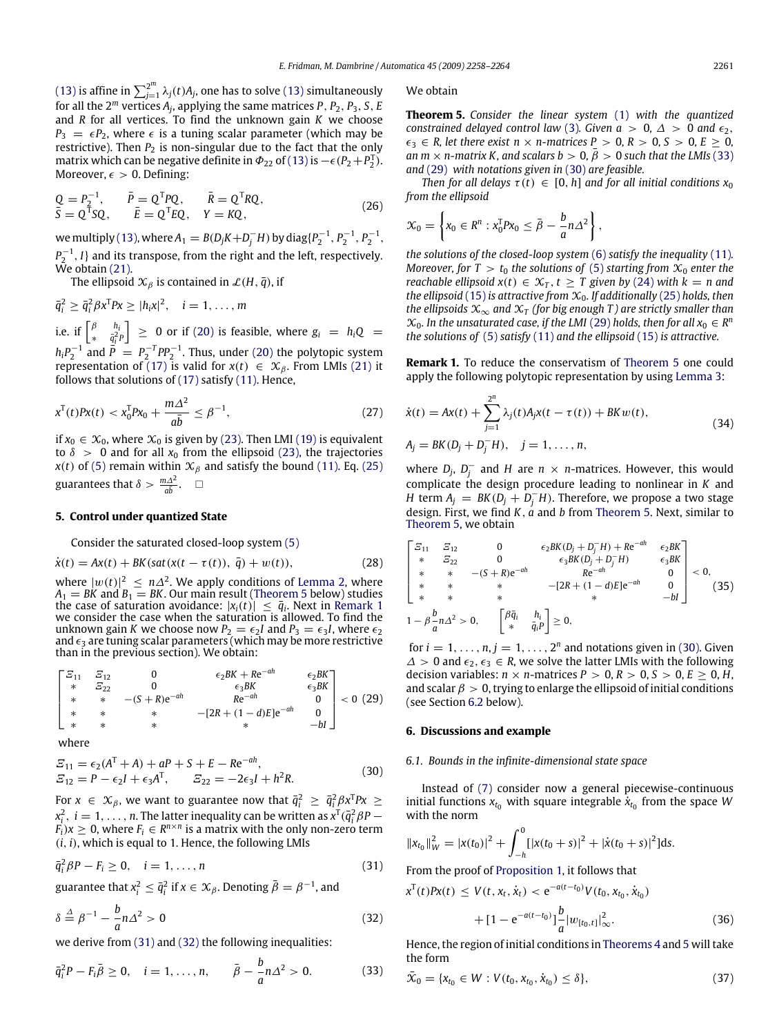(13) is affine in  $\sum_{j=1}^{2^m} \lambda_j(t) A_j$ , one has to solve (13) simultaneously for all the 2*<sup>m</sup>* vertices *A<sup>j</sup>* , applying the same matrices *P*, *P*2, *P*3, *S*, *E* and *R* for all vertices. To find the unknown gain *K* we choose  $P_3 = \epsilon P_2$ , where  $\epsilon$  is a tuning scalar parameter (which may be restrictive). Then  $P_2$  is non-singular due to the fact that the only matrix which can be negative definite in  $\Phi_{22}$  of (13) is  $-\epsilon (P_2+P_2^T)$ . Moreover,  $\epsilon > 0$ . Defining:

$$
Q = P_2^{-1}, \qquad \bar{P} = Q^{\mathrm{T}} P Q, \qquad \bar{R} = Q^{\mathrm{T}} R Q, \bar{S} = Q^{\mathrm{T}} S Q, \qquad \bar{E} = Q^{\mathrm{T}} E Q, \qquad Y = K Q,
$$
\n(26)

we multiply (13), where  $A_1 = B(D_j K + D_j^- H)$  by diag $\{P_2^{-1}, P_2^{-1}, P_2^{-1}, P_3^{-1}\}$  $P_2^{-1}$ , *I*} and its transpose, from the right and the left, respectively. We obtain (21).

The ellipsoid  $\mathcal{X}_{\beta}$  is contained in  $\mathcal{L}(H, \bar{q})$ , if

$$
\bar{q}_i^2 \geq \bar{q}_i^2 \beta x^{\mathrm{T}} P x \geq |h_i x|^2, \quad i = 1, \ldots, m
$$

i.e. if  $\begin{bmatrix} \beta & h_i \\ h_i & \bar{a}^2 \end{bmatrix}$  $\begin{array}{rcl} \beta & h_i \\ \frac{\partial}{\partial i}P \end{array}$   $\geq 0$  or if (20) is feasible, where  $g_i = h_i Q =$  $h_i P_2^{-1}$  and  $\vec{P} = P_2^{-T} P P_2^{-1}$ . Thus, under (20) the polytopic system representation of (17) is valid for  $x(t) \in X_\beta$ . From LMIs (21) it follows that solutions of (17) satisfy (11). Hence,

$$
x^{T}(t)Px(t) < x_{0}^{T}Px_{0} + \frac{m\Delta^{2}}{a\bar{b}} \leq \beta^{-1},\tag{27}
$$

if  $x_0 \in \mathcal{X}_0$ , where  $\mathcal{X}_0$  is given by (23). Then LMI (19) is equivalent to  $\delta > 0$  and for all  $x_0$  from the ellipsoid (23), the trajectories *x*(*t*) of (5) remain within  $\mathcal{X}_{\beta}$  and satisfy the bound (11). Eq. (25) guarantees that  $\delta > \frac{m\Delta^2}{a\bar{b}}$ .  $\Box$ 

# **5. Control under quantized State**

Consider the saturated closed-loop system (5)

$$
\dot{x}(t) = Ax(t) + BK(sat(x(t - \tau(t)), \bar{q}) + w(t)),
$$
\n(28)

where  $|w(t)|^2 \le n\Delta^2$ . We apply conditions of Lemma 2, where  $A_1 = BK$  and  $B_1 = BK$ . Our main result (Theorem 5 below) studies the case of saturation avoidance:  $|x_i(t)| \leq \bar{q}_i$ . Next in Remark 1 we consider the case when the saturation is allowed. To find the unknown gain *K* we choose now  $P_2 = \epsilon_2 I$  and  $P_3 = \epsilon_3 I$ , where  $\epsilon_2$ and  $\epsilon_3$  are tuning scalar parameters (which may be more restrictive than in the previous section). We obtain:

$$
\begin{bmatrix}\n\Xi_{11} & \Xi_{12} & 0 & \epsilon_2 BK + Re^{-ah} & \epsilon_2 BK \\
\ast & \Xi_{22} & 0 & \epsilon_3 BK & \epsilon_3 BK \\
\ast & \ast & - (S + R)e^{-ah} & Re^{-ah} & 0 \\
\ast & \ast & \ast & - [2R + (1 - d)E]e^{-ah} & 0 \\
\ast & \ast & \ast & \ast & -bl\n\end{bmatrix} < 0 \tag{29}
$$

where

$$
E_{11} = \epsilon_2 (A^T + A) + aP + S + E - Re^{-ah},
$$
  
\n
$$
E_{12} = P - \epsilon_2 I + \epsilon_3 A^T, \qquad E_{22} = -2\epsilon_3 I + h^2 R.
$$
\n(30)

For  $x \in \mathcal{X}_{\beta}$ , we want to guarantee now that  $\bar{q}_i^2 \geq \bar{q}_i^2 \beta x^{\text{T}} P x \geq$  $x_i^2, \ i=1,\ldots,n.$  The latter inequality can be written as  $x^{\text{T}}(\bar{q}_i^2\beta P - \bar{q}_i^2\beta P)$  $F_i$ ) $x \geq 0$ , where  $F_i \in R^{n \times n}$  is a matrix with the only non-zero term (*i*, *i*), which is equal to 1. Hence, the following LMIs

$$
\bar{q}_i^2 \beta P - F_i \ge 0, \quad i = 1, \dots, n \tag{31}
$$

guarantee that  $x_i^2 \le \bar{q}_i^2$  if  $x \in \mathcal{X}_\beta$ . Denoting  $\bar{\beta} = \beta^{-1}$ , and

$$
\delta \stackrel{\Delta}{=} \beta^{-1} - \frac{b}{a} n \Delta^2 > 0 \tag{32}
$$

we derive from (31) and (32) the following inequalities:

$$
\bar{q}_i^2 P - F_i \bar{\beta} \ge 0, \quad i = 1, ..., n, \qquad \bar{\beta} - \frac{b}{a} n \Delta^2 > 0. \tag{33}
$$

We obtain

**Theorem 5.** *Consider the linear system* (1) *with the quantized constrained delayed control law* (3)*. Given a* > 0,  $\Delta$  > 0 *and*  $\epsilon_2$ ,  $\epsilon_3 \in R$ , let there exist  $n \times n$ -matrices  $P > 0$ ,  $R > 0$ ,  $S > 0$ ,  $E > 0$ , *an m*  $\times$  *n*-matrix *K*, and scalars  $b > 0$ ,  $\overline{\beta} > 0$  such that the LMIs (33) and (29) *with notations given in* (30) *are feasible.*

*Then for all delays*  $\tau(t) \in [0, h]$  *and for all initial conditions*  $x_0$ *from the ellipsoid*

$$
\mathcal{X}_0 = \left\{ x_0 \in R^n : x_0^T P x_0 \leq \bar{\beta} - \frac{b}{a} n \Delta^2 \right\},\
$$

*the solutions of the closed-loop system* (6) *satisfy the inequality* (11)*. Moreover, for*  $T > t_0$  *the solutions of* (5) *starting from*  $\mathcal{X}_0$  *enter the reachable ellipsoid*  $x(t) \in \mathcal{X}_T$ ,  $t \geq T$  given by (24) with  $k = n$  and *the ellipsoid* (15) *is attractive from*  $\mathcal{X}_0$ *. If additionally* (25) *holds, then the ellipsoids*  $\mathfrak{X}_{\infty}$  *and*  $\mathfrak{X}_{\tau}$  *(for big enough T) are strictly smaller than*  $\mathcal{X}_0$ *. In the unsaturated case, if the LMI* (29) *holds, then for all*  $x_0 \in R^n$ *the solutions of* (5) *satisfy* (11) *and the ellipsoid* (15) *is attractive.*

**Remark 1.** To reduce the conservatism of Theorem 5 one could apply the following polytopic representation by using Lemma 3:

$$
\dot{x}(t) = Ax(t) + \sum_{j=1}^{2^n} \lambda_j(t) A_j x(t - \tau(t)) + BK w(t),
$$
  
\n
$$
A_j = BK(D_j + D_j^- H), \quad j = 1, ..., n,
$$
\n(34)

where  $D_j$ ,  $D_j^-$  and *H* are  $n \times n$ -matrices. However, this would complicate the design procedure leading to nonlinear in *K* and *H* term  $A_j = BK(D_j + D_j - H)$ . Therefore, we propose a two stage design. First, we find *K*, *a* and *b* from Theorem 5. Next, similar to Theorem 5, we obtain

$$
\begin{bmatrix}\n\Xi_{11} & \Xi_{12} & 0 & \epsilon_2 BK(D_j + D_j^- H) + Re^{-ah} & \epsilon_2 BK \\
* & \Xi_{22} & 0 & \epsilon_3 BK(D_j + D_j^- H) & \epsilon_3 BK \\
* & * & -(S + R)e^{-ah} & Re^{-ah} & 0 \\
* & * & * & -(2R + (1 - d)E)e^{-ah} & 0 \\
* & * & * & * & -bl\n\end{bmatrix} < 0,
$$
\n
$$
1 - \beta \frac{b}{a} n \Delta^2 > 0, \quad \begin{bmatrix} \beta \overline{q}_i & h_i \\ * & \overline{q}_i P \end{bmatrix} \ge 0,
$$
\n(35)

for  $i = 1, \ldots, n, j = 1, \ldots, 2^n$  and notations given in (30). Given  $\Delta$  > 0 and  $\epsilon_2$ ,  $\epsilon_3$  ∈ *R*, we solve the latter LMIs with the following decision variables:  $n \times n$ -matrices  $P > 0$ ,  $R > 0$ ,  $S > 0$ ,  $E \ge 0$ ,  $H$ , and scalar  $\beta > 0$ , trying to enlarge the ellipsoid of initial conditions (see Section 6.2 below).

# **6. Discussions and example**

## *6.1. Bounds in the infinite-dimensional state space*

Instead of (7) consider now a general piecewise-continuous initial functions  $x_{t_0}$  with square integrable  $\dot{x}_{t_0}$  from the space *W* with the norm

$$
||x_{t_0}||_W^2 = |x(t_0)|^2 + \int_{-h}^0 [ |x(t_0 + s)|^2 + |\dot{x}(t_0 + s)|^2 ] ds.
$$

From the proof of Proposition 1, it follows that

$$
x^{T}(t)Px(t) \le V(t, x_{t}, \dot{x}_{t}) < e^{-a(t-t_{0})}V(t_{0}, x_{t_{0}}, \dot{x}_{t_{0}})
$$

$$
+ [1 - e^{-a(t-t_{0})}] \frac{b}{a} |w_{[t_{0}, t]}|_{\infty}^{2}.
$$
(36)

Hence, the region of initial conditions in Theorems 4 and 5 will take the form

$$
\bar{\mathcal{X}}_0 = \{x_{t_0} \in W : V(t_0, x_{t_0}, \dot{x}_{t_0}) \le \delta\},\tag{37}
$$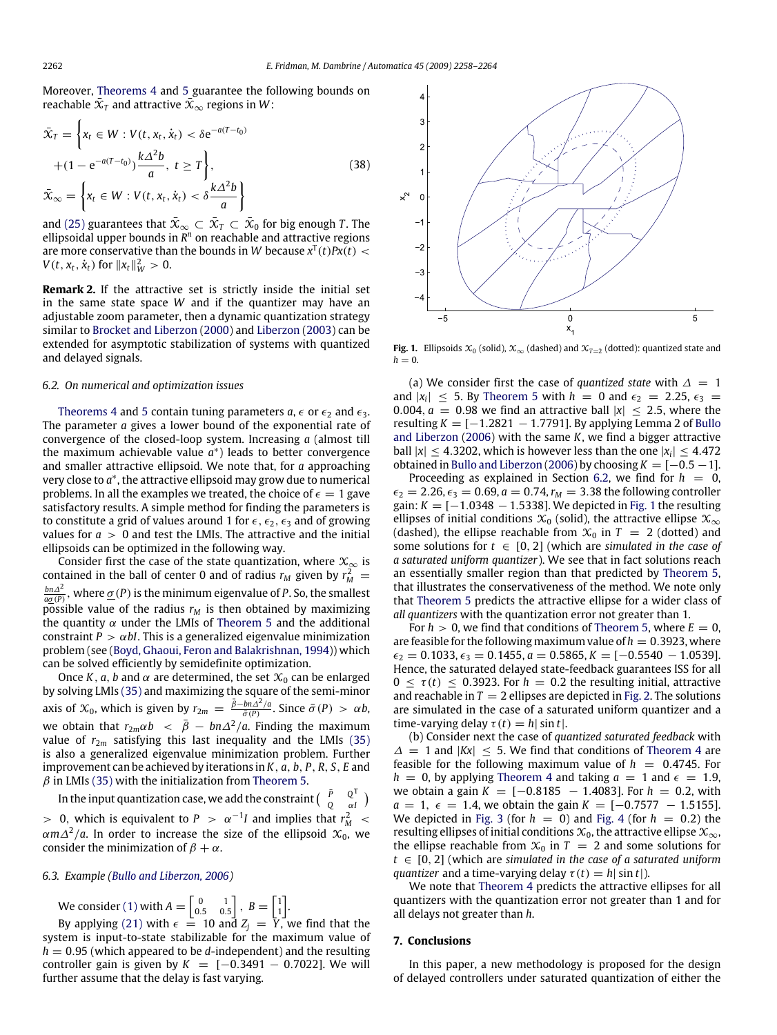Moreover, Theorems 4 and 5 guarantee the following bounds on reachable  $\bar{\mathfrak X}_T$  and attractive  $\bar{\mathfrak X}_\infty$  regions in  $W$ :

$$
\bar{\mathbf{X}}_T = \left\{ x_t \in W : V(t, x_t, \dot{x}_t) < \delta e^{-a(T - t_0)} \right\}
$$
\n
$$
+ (1 - e^{-a(T - t_0)}) \frac{k \Delta^2 b}{a}, \ t \ge T \right\},\
$$
\n
$$
\bar{\mathbf{X}}_{\infty} = \left\{ x_t \in W : V(t, x_t, \dot{x}_t) < \delta \frac{k \Delta^2 b}{a} \right\}
$$
\n
$$
(38)
$$

and (25) guarantees that  $\bar{\mathfrak X}_\infty\subset\bar{\mathfrak X}_T\subset\bar{\mathfrak X}_0$  for big enough  $T.$  The ellipsoidal upper bounds in *R <sup>n</sup>* on reachable and attractive regions are more conservative than the bounds in W because  $x^T(t)Px(t) <$ *V*(*t*,  $x_t$ ,  $\dot{x}_t$ ) for  $||x_t||_W^2 > 0$ .

**Remark 2.** If the attractive set is strictly inside the initial set in the same state space *W* and if the quantizer may have an adjustable zoom parameter, then a dynamic quantization strategy similar to Brocket and Liberzon (2000) and Liberzon (2003) can be extended for asymptotic stabilization of systems with quantized and delayed signals.

# *6.2. On numerical and optimization issues*

Theorems 4 and 5 contain tuning parameters  $a, \epsilon$  or  $\epsilon_2$  and  $\epsilon_3$ . The parameter *a* gives a lower bound of the exponential rate of convergence of the closed-loop system. Increasing *a* (almost till the maximum achievable value *a*<sup>\*</sup>) leads to better convergence and smaller attractive ellipsoid. We note that, for *a* approaching very close to a<sup>\*</sup>, the attractive ellipsoid may grow due to numerical problems. In all the examples we treated, the choice of  $\epsilon = 1$  gave satisfactory results. A simple method for finding the parameters is to constitute a grid of values around 1 for  $\epsilon$ ,  $\epsilon_2$ ,  $\epsilon_3$  and of growing values for  $a > 0$  and test the LMIs. The attractive and the initial ellipsoids can be optimized in the following way.

Consider first the case of the state quantization, where  $\mathfrak{X}_{\infty}$  is contained in the ball of center 0 and of radius  $r_M$  given by  $r_M^2 =$  $\frac{bn\Delta^2}{a\underline{\sigma}(P)}$ , where  $\underline{\sigma}(P)$  is the minimum eigenvalue of *P*. So, the smallest possible value of the radius  $r_M$  is then obtained by maximizing the quantity  $\alpha$  under the LMIs of Theorem 5 and the additional constraint  $P > \alpha bI$ . This is a generalized eigenvalue minimization problem (see (Boyd, Ghaoui, Feron and Balakrishnan, 1994)) which can be solved efficiently by semidefinite optimization.

Once *K*, *a*, *b* and  $\alpha$  are determined, the set  $\mathcal{X}_0$  can be enlarged by solving LMIs (35) and maximizing the square of the semi-minor axis of  $\mathfrak{X}_0$ , which is given by  $r_{2m} = \frac{\bar{\beta} - b n \Delta^2/a}{\bar{\sigma}(P)}$ . Since  $\bar{\sigma}(P) > \alpha b$ , we obtain that  $r_{2m}\alpha b \ < \ \bar{\beta} \ - \ b n \Delta^2/a$ . Finding the maximum value of  $r_{2m}$  satisfying this last inequality and the LMIs (35) is also a generalized eigenvalue minimization problem. Further improvement can be achieved by iterations in *K*, *a*, *b*, *P*, *R*, *S*, *E* and  $\beta$  in LMIs (35) with the initialization from Theorem 5.

In the input quantization case, we add the constraint  $\begin{pmatrix} \bar{P} & Q^{\bar{T}} \\ O & \bar{Q}^{\bar{T}} \end{pmatrix}$  $\begin{pmatrix} P & Q^T \\ Q & \alpha I \end{pmatrix}$  $> 0$ , which is equivalent to  $P > \alpha^{-1}I$  and implies that  $r_M^2$  $\alpha$ m $\Delta^2/a$ . In order to increase the size of the ellipsoid  $\mathfrak{X}_0$ , we consider the minimization of  $\beta + \alpha$ .

#### *6.3. Example (Bullo and Liberzon, 2006)*

We consider (1) with  $A = \begin{bmatrix} 0 & 1 \\ 0.5 & 0.5 \end{bmatrix}$ ,  $B = \begin{bmatrix} 1 \\ 1 \end{bmatrix}$ .

By applying (21) with  $\epsilon = 10$  and  $Z_j = \overline{Y}$ , we find that the system is input-to-state stabilizable for the maximum value of  $h = 0.95$  (which appeared to be *d*-independent) and the resulting controller gain is given by  $K = [-0.3491 - 0.7022]$ . We will further assume that the delay is fast varying.



**Fig. 1.** Ellipsoids  $\mathcal{X}_0$  (solid),  $\mathcal{X}_\infty$  (dashed) and  $\mathcal{X}_{T=2}$  (dotted): quantized state and  $h = 0$ .

(a) We consider first the case of *quantized state* with  $\Delta = 1$ and  $|x_i| \leq 5$ . By Theorem 5 with  $h = 0$  and  $\epsilon_2 = 2.25$ ,  $\epsilon_3 =$ 0.004,  $a = 0.98$  we find an attractive ball  $|x| \le 2.5$ , where the resulting *K* = [−1.2821 − 1.7791]. By applying Lemma 2 of Bullo and Liberzon (2006) with the same *K*, we find a bigger attractive ball  $|x| \leq 4.3202$ , which is however less than the one  $|x_i| \leq 4.472$ obtained in Bullo and Liberzon (2006) by choosing  $K = [-0.5 - 1]$ .

Proceeding as explained in Section 6.2, we find for  $h = 0$ ,  $\epsilon_2 = 2.26, \epsilon_3 = 0.69, a = 0.74, r_M = 3.38$  the following controller gain:  $K = [-1.0348 - 1.5338]$ . We depicted in Fig. 1 the resulting ellipses of initial conditions  $\mathfrak{X}_0$  (solid), the attractive ellipse  $\mathfrak{X}_\infty$ (dashed), the ellipse reachable from  $\mathcal{X}_0$  in  $T = 2$  (dotted) and some solutions for  $t \in [0, 2]$  (which are *simulated in the case of a saturated uniform quantizer*). We see that in fact solutions reach an essentially smaller region than that predicted by Theorem 5, that illustrates the conservativeness of the method. We note only that Theorem 5 predicts the attractive ellipse for a wider class of *all quantizers* with the quantization error not greater than 1.

For  $h > 0$ , we find that conditions of Theorem 5, where  $E = 0$ , are feasible for the following maximum value of  $h = 0.3923$ , where  $\epsilon_2 = 0.1033$ ,  $\epsilon_3 = 0.1455$ ,  $a = 0.5865$ ,  $K = [-0.5540 - 1.0539]$ . Hence, the saturated delayed state-feedback guarantees ISS for all  $0 \leq \tau(t) \leq 0.3923$ . For  $h = 0.2$  the resulting initial, attractive and reachable in  $T = 2$  ellipses are depicted in Fig. 2. The solutions are simulated in the case of a saturated uniform quantizer and a time-varying delay  $\tau(t) = h|\sin t|$ .

(b) Consider next the case of *quantized saturated feedback* with  $\Delta = 1$  and  $|Kx| < 5$ . We find that conditions of Theorem 4 are feasible for the following maximum value of  $h = 0.4745$ . For  $h = 0$ , by applying Theorem 4 and taking  $a = 1$  and  $\epsilon = 1.9$ , we obtain a gain *K* = [-0.8185 − 1.4083]. For *h* = 0.2, with  $a = 1, \epsilon = 1.4$ , we obtain the gain  $K = [-0.7577 - 1.5155]$ . We depicted in Fig. 3 (for  $h = 0$ ) and Fig. 4 (for  $h = 0.2$ ) the resulting ellipses of initial conditions  $\mathfrak{X}_0$ , the attractive ellipse  $\mathfrak{X}_\infty$ , the ellipse reachable from  $\mathcal{X}_0$  in  $T = 2$  and some solutions for *t* ∈ [0, 2] (which are *simulated in the case of a saturated uniform quantizer* and a time-varying delay  $\tau(t) = h|\sin t|$ .

We note that Theorem 4 predicts the attractive ellipses for all quantizers with the quantization error not greater than 1 and for all delays not greater than *h*.

## **7. Conclusions**

In this paper, a new methodology is proposed for the design of delayed controllers under saturated quantization of either the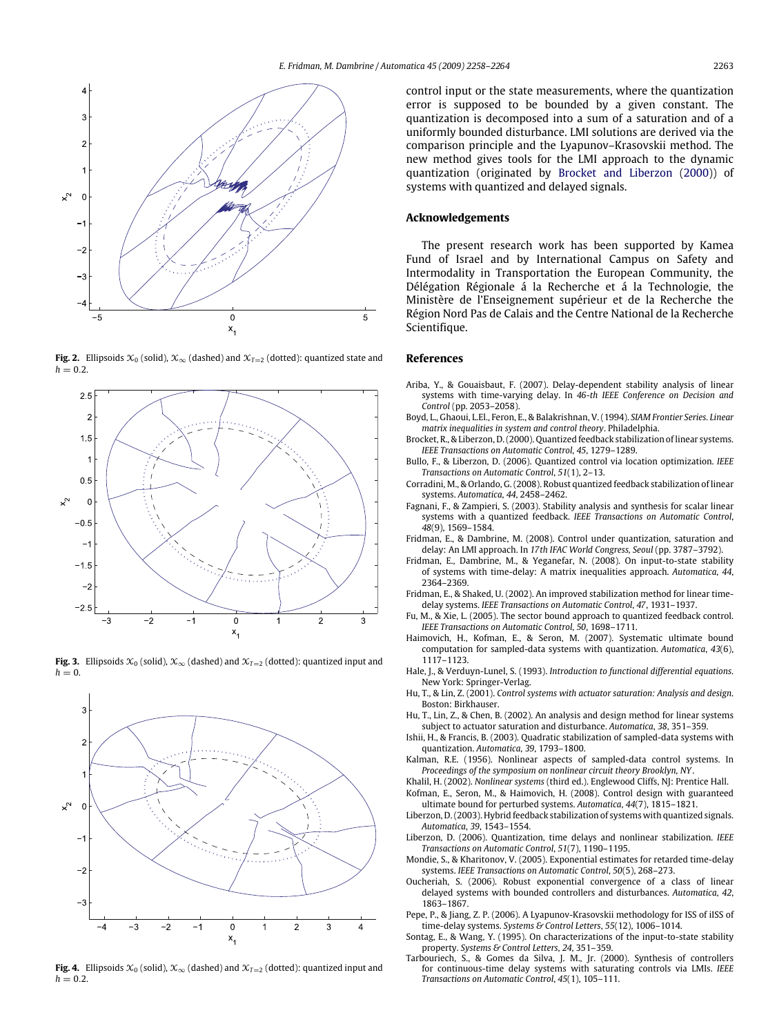

**Fig. 2.** Ellipsoids  $\mathcal{X}_0$  (solid),  $\mathcal{X}_\infty$  (dashed) and  $\mathcal{X}_{T=2}$  (dotted): quantized state and  $h = 0.2$ .







**Fig. 4.** Ellipsoids  $\mathcal{X}_0$  (solid),  $\mathcal{X}_\infty$  (dashed) and  $\mathcal{X}_{T=2}$  (dotted): quantized input and  $h = 0.2$ .

control input or the state measurements, where the quantization error is supposed to be bounded by a given constant. The quantization is decomposed into a sum of a saturation and of a uniformly bounded disturbance. LMI solutions are derived via the comparison principle and the Lyapunov–Krasovskii method. The new method gives tools for the LMI approach to the dynamic quantization (originated by Brocket and Liberzon (2000)) of systems with quantized and delayed signals.

# **Acknowledgements**

The present research work has been supported by Kamea Fund of Israel and by International Campus on Safety and Intermodality in Transportation the European Community, the Délégation Régionale á la Recherche et á la Technologie, the Ministère de l'Enseignement supérieur et de la Recherche the Région Nord Pas de Calais and the Centre National de la Recherche Scientifique.

#### **References**

- Ariba, Y., & Gouaisbaut, F. (2007). Delay-dependent stability analysis of linear systems with time-varying delay. In *46-th IEEE Conference on Decision and Control* (pp. 2053–2058).
- Boyd, L., Ghaoui, L.El., Feron, E., & Balakrishnan, V. (1994). *SIAM Frontier Series. Linear matrix inequalities in system and control theory*. Philadelphia.
- Brocket, R., & Liberzon, D. (2000). Quantized feedback stabilization of linear systems. *IEEE Transactions on Automatic Control*, *45*, 1279–1289.
- Bullo, F., & Liberzon, D. (2006). Quantized control via location optimization. *IEEE Transactions on Automatic Control*, *51*(1), 2–13.
- Corradini, M., & Orlando, G. (2008). Robust quantized feedback stabilization of linear systems. *Automatica*, *44*, 2458–2462.
- Fagnani, F., & Zampieri, S. (2003). Stability analysis and synthesis for scalar linear systems with a quantized feedback. *IEEE Transactions on Automatic Control*, *48*(9), 1569–1584.
- Fridman, E., & Dambrine, M. (2008). Control under quantization, saturation and delay: An LMI approach. In *17th IFAC World Congress, Seoul* (pp. 3787–3792).
- Fridman, E., Dambrine, M., & Yeganefar, N. (2008). On input-to-state stability of systems with time-delay: A matrix inequalities approach. *Automatica*, *44*, 2364–2369.
- Fridman, E., & Shaked, U. (2002). An improved stabilization method for linear timedelay systems. *IEEE Transactions on Automatic Control*, *47*, 1931–1937.
- Fu, M., & Xie, L. (2005). The sector bound approach to quantized feedback control. *IEEE Transactions on Automatic Control*, *50*, 1698–1711.
- Haimovich, H., Kofman, E., & Seron, M. (2007). Systematic ultimate bound computation for sampled-data systems with quantization. *Automatica*, *43*(6), 1117–1123.
- Hale, J., & Verduyn-Lunel, S. (1993). *Introduction to functional differential equations*. New York: Springer-Verlag.
- Hu, T., & Lin, Z. (2001). *Control systems with actuator saturation: Analysis and design*. Boston: Birkhauser.
- Hu, T., Lin, Z., & Chen, B. (2002). An analysis and design method for linear systems subject to actuator saturation and disturbance. *Automatica*, *38*, 351–359.
- Ishii, H., & Francis, B. (2003). Quadratic stabilization of sampled-data systems with quantization. *Automatica*, *39*, 1793–1800.
- Kalman, R.E. (1956). Nonlinear aspects of sampled-data control systems. In *Proceedings of the symposium on nonlinear circuit theory Brooklyn, NY*.
- Khalil, H. (2002). *Nonlinear systems* (third ed.). Englewood Cliffs, NJ: Prentice Hall.
- Kofman, E., Seron, M., & Haimovich, H. (2008). Control design with guaranteed ultimate bound for perturbed systems. *Automatica*, *44*(7), 1815–1821.
- Liberzon, D. (2003). Hybrid feedback stabilization of systems with quantized signals. *Automatica*, *39*, 1543–1554.
- Liberzon, D. (2006). Quantization, time delays and nonlinear stabilization. *IEEE Transactions on Automatic Control*, *51*(7), 1190–1195.
- Mondie, S., & Kharitonov, V. (2005). Exponential estimates for retarded time-delay systems. *IEEE Transactions on Automatic Control*, *50*(5), 268–273.
- Oucheriah, S. (2006). Robust exponential convergence of a class of linear delayed systems with bounded controllers and disturbances. *Automatica*, *42*, 1863–1867.
- Pepe, P., & Jiang, Z. P. (2006). A Lyapunov-Krasovskii methodology for ISS of iISS of time-delay systems. *Systems & Control Letters*, *55*(12), 1006–1014.
- Sontag, E., & Wang, Y. (1995). On characterizations of the input-to-state stability property. *Systems & Control Letters*, *24*, 351–359.
- Tarbouriech, S., & Gomes da Silva, J. M., Jr. (2000). Synthesis of controllers for continuous-time delay systems with saturating controls via LMIs. *IEEE Transactions on Automatic Control*, *45*(1), 105–111.